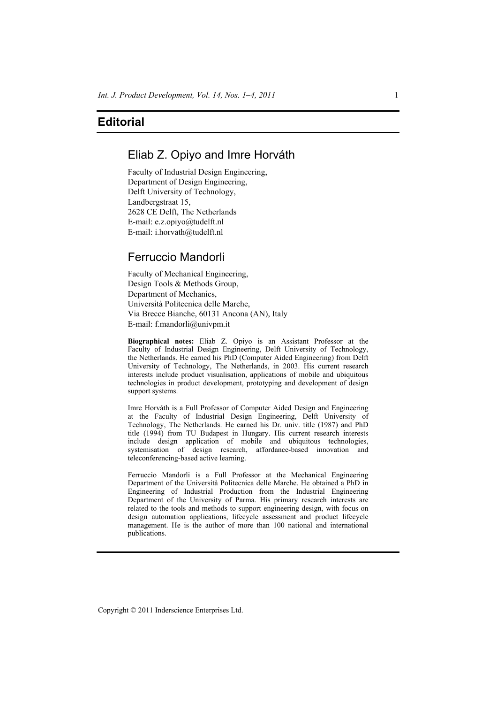# Eliab Z. Opiyo and Imre Horváth

Faculty of Industrial Design Engineering, Department of Design Engineering, Delft University of Technology, Landbergstraat 15, 2628 CE Delft, The Netherlands E-mail: e.z.opiyo@tudelft.nl E-mail: i.horvath@tudelft.nl

# Ferruccio Mandorli

Faculty of Mechanical Engineering, Design Tools & Methods Group, Department of Mechanics, Università Politecnica delle Marche, Via Brecce Bianche, 60131 Ancona (AN), Italy E-mail: f.mandorli@univpm.it

**Biographical notes:** Eliab Z. Opiyo is an Assistant Professor at the Faculty of Industrial Design Engineering, Delft University of Technology, the Netherlands. He earned his PhD (Computer Aided Engineering) from Delft University of Technology, The Netherlands, in 2003. His current research interests include product visualisation, applications of mobile and ubiquitous technologies in product development, prototyping and development of design support systems.

Imre Horváth is a Full Professor of Computer Aided Design and Engineering at the Faculty of Industrial Design Engineering, Delft University of Technology, The Netherlands. He earned his Dr. univ. title (1987) and PhD title (1994) from TU Budapest in Hungary. His current research interests include design application of mobile and ubiquitous technologies, systemisation of design research, affordance-based innovation and teleconferencing-based active learning.

Ferruccio Mandorli is a Full Professor at the Mechanical Engineering Department of the Università Politecnica delle Marche. He obtained a PhD in Engineering of Industrial Production from the Industrial Engineering Department of the University of Parma. His primary research interests are related to the tools and methods to support engineering design, with focus on design automation applications, lifecycle assessment and product lifecycle management. He is the author of more than 100 national and international publications.

Copyright © 2011 Inderscience Enterprises Ltd.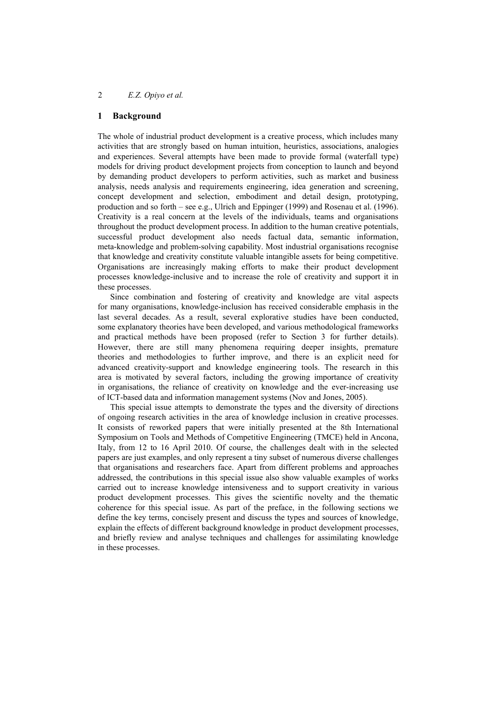#### **1 Background**

The whole of industrial product development is a creative process, which includes many activities that are strongly based on human intuition, heuristics, associations, analogies and experiences. Several attempts have been made to provide formal (waterfall type) models for driving product development projects from conception to launch and beyond by demanding product developers to perform activities, such as market and business analysis, needs analysis and requirements engineering, idea generation and screening, concept development and selection, embodiment and detail design, prototyping, production and so forth – see e.g., Ulrich and Eppinger (1999) and Rosenau et al. (1996). Creativity is a real concern at the levels of the individuals, teams and organisations throughout the product development process. In addition to the human creative potentials, successful product development also needs factual data, semantic information, meta-knowledge and problem-solving capability. Most industrial organisations recognise that knowledge and creativity constitute valuable intangible assets for being competitive. Organisations are increasingly making efforts to make their product development processes knowledge-inclusive and to increase the role of creativity and support it in these processes.

Since combination and fostering of creativity and knowledge are vital aspects for many organisations, knowledge-inclusion has received considerable emphasis in the last several decades. As a result, several explorative studies have been conducted, some explanatory theories have been developed, and various methodological frameworks and practical methods have been proposed (refer to Section 3 for further details). However, there are still many phenomena requiring deeper insights, premature theories and methodologies to further improve, and there is an explicit need for advanced creativity-support and knowledge engineering tools. The research in this area is motivated by several factors, including the growing importance of creativity in organisations, the reliance of creativity on knowledge and the ever-increasing use of ICT-based data and information management systems (Nov and Jones, 2005).

This special issue attempts to demonstrate the types and the diversity of directions of ongoing research activities in the area of knowledge inclusion in creative processes. It consists of reworked papers that were initially presented at the 8th International Symposium on Tools and Methods of Competitive Engineering (TMCE) held in Ancona, Italy, from 12 to 16 April 2010. Of course, the challenges dealt with in the selected papers are just examples, and only represent a tiny subset of numerous diverse challenges that organisations and researchers face. Apart from different problems and approaches addressed, the contributions in this special issue also show valuable examples of works carried out to increase knowledge intensiveness and to support creativity in various product development processes. This gives the scientific novelty and the thematic coherence for this special issue. As part of the preface, in the following sections we define the key terms, concisely present and discuss the types and sources of knowledge, explain the effects of different background knowledge in product development processes, and briefly review and analyse techniques and challenges for assimilating knowledge in these processes.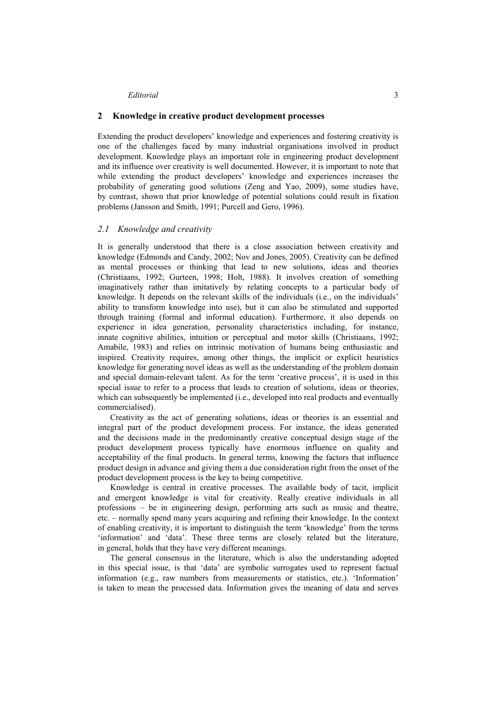### **2 Knowledge in creative product development processes**

Extending the product developers' knowledge and experiences and fostering creativity is one of the challenges faced by many industrial organisations involved in product development. Knowledge plays an important role in engineering product development and its influence over creativity is well documented. However, it is important to note that while extending the product developers' knowledge and experiences increases the probability of generating good solutions (Zeng and Yao, 2009), some studies have, by contrast, shown that prior knowledge of potential solutions could result in fixation problems (Jansson and Smith, 1991; Purcell and Gero, 1996).

### *2.1 Knowledge and creativity*

It is generally understood that there is a close association between creativity and knowledge (Edmonds and Candy, 2002; Nov and Jones, 2005). Creativity can be defined as mental processes or thinking that lead to new solutions, ideas and theories (Christiaans, 1992; Gurteen, 1998; Holt, 1988). It involves creation of something imaginatively rather than imitatively by relating concepts to a particular body of knowledge. It depends on the relevant skills of the individuals (i.e., on the individuals' ability to transform knowledge into use), but it can also be stimulated and supported through training (formal and informal education). Furthermore, it also depends on experience in idea generation, personality characteristics including, for instance, innate cognitive abilities, intuition or perceptual and motor skills (Christiaans, 1992; Amabile, 1983) and relies on intrinsic motivation of humans being enthusiastic and inspired. Creativity requires, among other things, the implicit or explicit heuristics knowledge for generating novel ideas as well as the understanding of the problem domain and special domain-relevant talent. As for the term 'creative process', it is used in this special issue to refer to a process that leads to creation of solutions, ideas or theories, which can subsequently be implemented (i.e., developed into real products and eventually commercialised).

Creativity as the act of generating solutions, ideas or theories is an essential and integral part of the product development process. For instance, the ideas generated and the decisions made in the predominantly creative conceptual design stage of the product development process typically have enormous influence on quality and acceptability of the final products. In general terms, knowing the factors that influence product design in advance and giving them a due consideration right from the onset of the product development process is the key to being competitive.

Knowledge is central in creative processes. The available body of tacit, implicit and emergent knowledge is vital for creativity. Really creative individuals in all professions – be in engineering design, performing arts such as music and theatre, etc. – normally spend many years acquiring and refining their knowledge. In the context of enabling creativity, it is important to distinguish the term 'knowledge' from the terms 'information' and 'data'. These three terms are closely related but the literature, in general, holds that they have very different meanings.

The general consensus in the literature, which is also the understanding adopted in this special issue, is that 'data' are symbolic surrogates used to represent factual information (e.g., raw numbers from measurements or statistics, etc.). 'Information' is taken to mean the processed data. Information gives the meaning of data and serves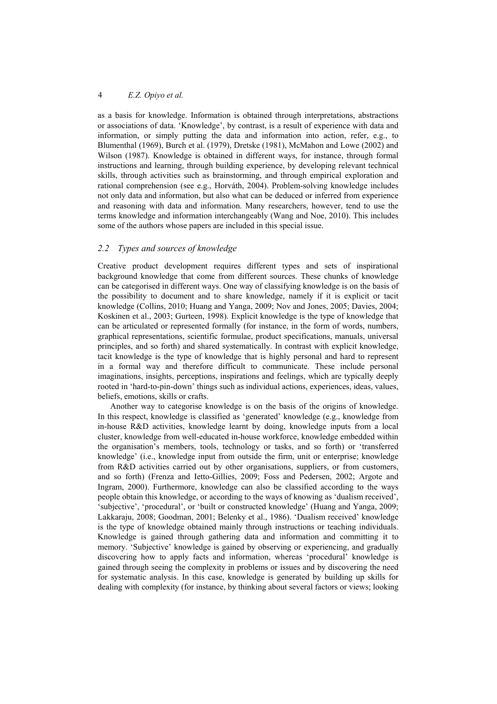as a basis for knowledge. Information is obtained through interpretations, abstractions or associations of data. 'Knowledge', by contrast, is a result of experience with data and information, or simply putting the data and information into action, refer, e.g., to Blumenthal (1969), Burch et al. (1979), Dretske (1981), McMahon and Lowe (2002) and Wilson (1987). Knowledge is obtained in different ways, for instance, through formal instructions and learning, through building experience, by developing relevant technical skills, through activities such as brainstorming, and through empirical exploration and rational comprehension (see e.g., Horváth, 2004). Problem-solving knowledge includes not only data and information, but also what can be deduced or inferred from experience and reasoning with data and information. Many researchers, however, tend to use the terms knowledge and information interchangeably (Wang and Noe, 2010). This includes some of the authors whose papers are included in this special issue.

#### *2.2 Types and sources of knowledge*

Creative product development requires different types and sets of inspirational background knowledge that come from different sources. These chunks of knowledge can be categorised in different ways. One way of classifying knowledge is on the basis of the possibility to document and to share knowledge, namely if it is explicit or tacit knowledge (Collins, 2010; Huang and Yanga, 2009; Nov and Jones, 2005; Davies, 2004; Koskinen et al., 2003; Gurteen, 1998). Explicit knowledge is the type of knowledge that can be articulated or represented formally (for instance, in the form of words, numbers, graphical representations, scientific formulae, product specifications, manuals, universal principles, and so forth) and shared systematically. In contrast with explicit knowledge, tacit knowledge is the type of knowledge that is highly personal and hard to represent in a formal way and therefore difficult to communicate. These include personal imaginations, insights, perceptions, inspirations and feelings, which are typically deeply rooted in 'hard-to-pin-down' things such as individual actions, experiences, ideas, values, beliefs, emotions, skills or crafts.

Another way to categorise knowledge is on the basis of the origins of knowledge. In this respect, knowledge is classified as 'generated' knowledge (e.g., knowledge from in-house R&D activities, knowledge learnt by doing, knowledge inputs from a local cluster, knowledge from well-educated in-house workforce, knowledge embedded within the organisation's members, tools, technology or tasks, and so forth) or 'transferred knowledge' (i.e., knowledge input from outside the firm, unit or enterprise; knowledge from R&D activities carried out by other organisations, suppliers, or from customers, and so forth) (Frenza and Ietto-Gillies, 2009; Foss and Pedersen, 2002; Argote and Ingram, 2000). Furthermore, knowledge can also be classified according to the ways people obtain this knowledge, or according to the ways of knowing as 'dualism received', 'subjective', 'procedural', or 'built or constructed knowledge' (Huang and Yanga, 2009; Lakkaraju, 2008; Goodman, 2001; Belenky et al., 1986). 'Dualism received' knowledge is the type of knowledge obtained mainly through instructions or teaching individuals. Knowledge is gained through gathering data and information and committing it to memory. 'Subjective' knowledge is gained by observing or experiencing, and gradually discovering how to apply facts and information, whereas 'procedural' knowledge is gained through seeing the complexity in problems or issues and by discovering the need for systematic analysis. In this case, knowledge is generated by building up skills for dealing with complexity (for instance, by thinking about several factors or views; looking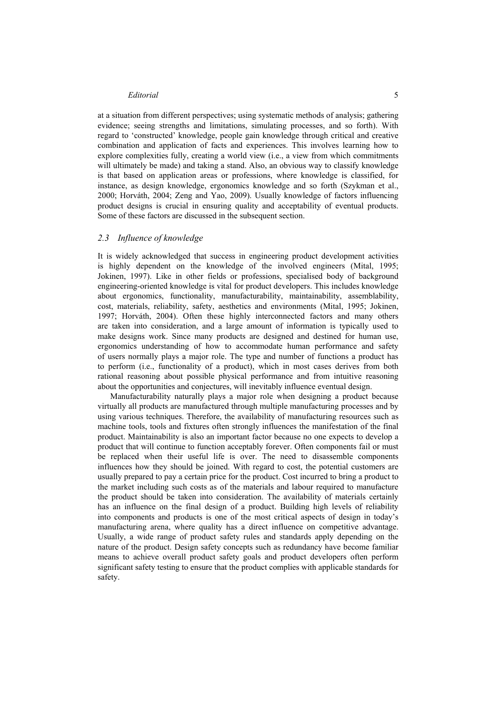at a situation from different perspectives; using systematic methods of analysis; gathering evidence; seeing strengths and limitations, simulating processes, and so forth). With regard to 'constructed' knowledge, people gain knowledge through critical and creative combination and application of facts and experiences. This involves learning how to explore complexities fully, creating a world view (i.e., a view from which commitments will ultimately be made) and taking a stand. Also, an obvious way to classify knowledge is that based on application areas or professions, where knowledge is classified, for instance, as design knowledge, ergonomics knowledge and so forth (Szykman et al., 2000; Horváth, 2004; Zeng and Yao, 2009). Usually knowledge of factors influencing product designs is crucial in ensuring quality and acceptability of eventual products. Some of these factors are discussed in the subsequent section.

### *2.3 Influence of knowledge*

It is widely acknowledged that success in engineering product development activities is highly dependent on the knowledge of the involved engineers (Mital, 1995; Jokinen, 1997). Like in other fields or professions, specialised body of background engineering-oriented knowledge is vital for product developers. This includes knowledge about ergonomics, functionality, manufacturability, maintainability, assemblability, cost, materials, reliability, safety, aesthetics and environments (Mital, 1995; Jokinen, 1997; Horváth, 2004). Often these highly interconnected factors and many others are taken into consideration, and a large amount of information is typically used to make designs work. Since many products are designed and destined for human use, ergonomics understanding of how to accommodate human performance and safety of users normally plays a major role. The type and number of functions a product has to perform (i.e., functionality of a product), which in most cases derives from both rational reasoning about possible physical performance and from intuitive reasoning about the opportunities and conjectures, will inevitably influence eventual design.

Manufacturability naturally plays a major role when designing a product because virtually all products are manufactured through multiple manufacturing processes and by using various techniques. Therefore, the availability of manufacturing resources such as machine tools, tools and fixtures often strongly influences the manifestation of the final product. Maintainability is also an important factor because no one expects to develop a product that will continue to function acceptably forever. Often components fail or must be replaced when their useful life is over. The need to disassemble components influences how they should be joined. With regard to cost, the potential customers are usually prepared to pay a certain price for the product. Cost incurred to bring a product to the market including such costs as of the materials and labour required to manufacture the product should be taken into consideration. The availability of materials certainly has an influence on the final design of a product. Building high levels of reliability into components and products is one of the most critical aspects of design in today's manufacturing arena, where quality has a direct influence on competitive advantage. Usually, a wide range of product safety rules and standards apply depending on the nature of the product. Design safety concepts such as redundancy have become familiar means to achieve overall product safety goals and product developers often perform significant safety testing to ensure that the product complies with applicable standards for safety.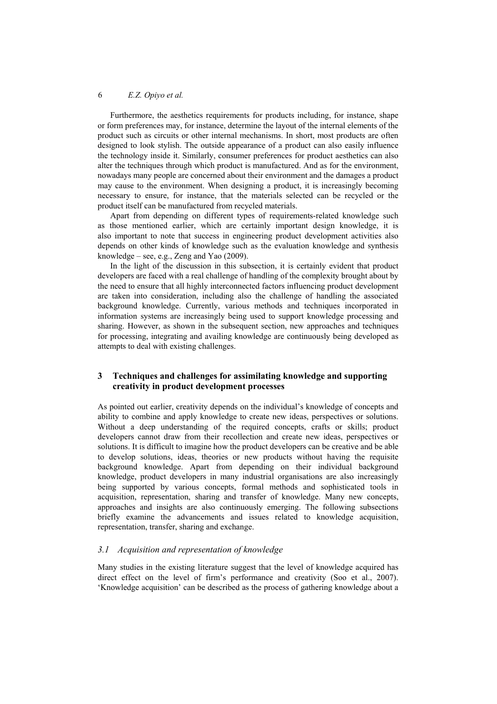Furthermore, the aesthetics requirements for products including, for instance, shape or form preferences may, for instance, determine the layout of the internal elements of the product such as circuits or other internal mechanisms. In short, most products are often designed to look stylish. The outside appearance of a product can also easily influence the technology inside it. Similarly, consumer preferences for product aesthetics can also alter the techniques through which product is manufactured. And as for the environment, nowadays many people are concerned about their environment and the damages a product may cause to the environment. When designing a product, it is increasingly becoming necessary to ensure, for instance, that the materials selected can be recycled or the product itself can be manufactured from recycled materials.

Apart from depending on different types of requirements-related knowledge such as those mentioned earlier, which are certainly important design knowledge, it is also important to note that success in engineering product development activities also depends on other kinds of knowledge such as the evaluation knowledge and synthesis knowledge – see, e.g., Zeng and Yao  $(2009)$ .

In the light of the discussion in this subsection, it is certainly evident that product developers are faced with a real challenge of handling of the complexity brought about by the need to ensure that all highly interconnected factors influencing product development are taken into consideration, including also the challenge of handling the associated background knowledge. Currently, various methods and techniques incorporated in information systems are increasingly being used to support knowledge processing and sharing. However, as shown in the subsequent section, new approaches and techniques for processing, integrating and availing knowledge are continuously being developed as attempts to deal with existing challenges.

# **3 Techniques and challenges for assimilating knowledge and supporting creativity in product development processes**

As pointed out earlier, creativity depends on the individual's knowledge of concepts and ability to combine and apply knowledge to create new ideas, perspectives or solutions. Without a deep understanding of the required concepts, crafts or skills; product developers cannot draw from their recollection and create new ideas, perspectives or solutions. It is difficult to imagine how the product developers can be creative and be able to develop solutions, ideas, theories or new products without having the requisite background knowledge. Apart from depending on their individual background knowledge, product developers in many industrial organisations are also increasingly being supported by various concepts, formal methods and sophisticated tools in acquisition, representation, sharing and transfer of knowledge. Many new concepts, approaches and insights are also continuously emerging. The following subsections briefly examine the advancements and issues related to knowledge acquisition, representation, transfer, sharing and exchange.

#### *3.1 Acquisition and representation of knowledge*

Many studies in the existing literature suggest that the level of knowledge acquired has direct effect on the level of firm's performance and creativity (Soo et al., 2007). 'Knowledge acquisition' can be described as the process of gathering knowledge about a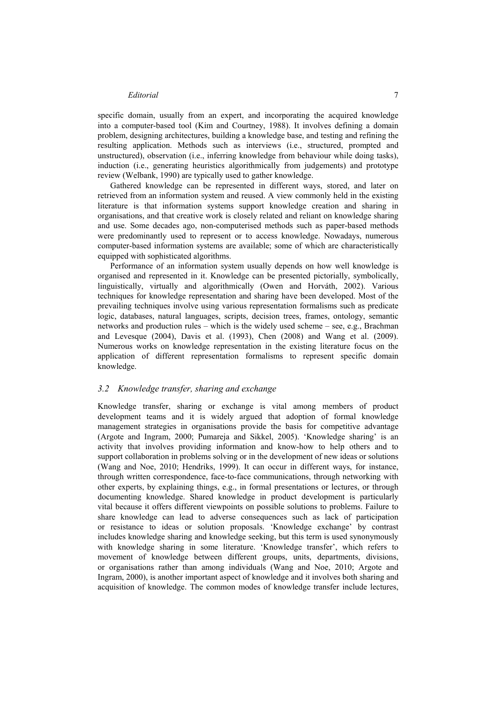specific domain, usually from an expert, and incorporating the acquired knowledge into a computer-based tool (Kim and Courtney, 1988). It involves defining a domain problem, designing architectures, building a knowledge base, and testing and refining the resulting application. Methods such as interviews (i.e., structured, prompted and unstructured), observation (i.e., inferring knowledge from behaviour while doing tasks), induction (i.e., generating heuristics algorithmically from judgements) and prototype review (Welbank, 1990) are typically used to gather knowledge.

Gathered knowledge can be represented in different ways, stored, and later on retrieved from an information system and reused. A view commonly held in the existing literature is that information systems support knowledge creation and sharing in organisations, and that creative work is closely related and reliant on knowledge sharing and use. Some decades ago, non-computerised methods such as paper-based methods were predominantly used to represent or to access knowledge. Nowadays, numerous computer-based information systems are available; some of which are characteristically equipped with sophisticated algorithms.

Performance of an information system usually depends on how well knowledge is organised and represented in it. Knowledge can be presented pictorially, symbolically, linguistically, virtually and algorithmically (Owen and Horváth, 2002). Various techniques for knowledge representation and sharing have been developed. Most of the prevailing techniques involve using various representation formalisms such as predicate logic, databases, natural languages, scripts, decision trees, frames, ontology, semantic networks and production rules – which is the widely used scheme – see, e.g., Brachman and Levesque (2004), Davis et al. (1993), Chen (2008) and Wang et al. (2009). Numerous works on knowledge representation in the existing literature focus on the application of different representation formalisms to represent specific domain knowledge.

# *3.2 Knowledge transfer, sharing and exchange*

Knowledge transfer, sharing or exchange is vital among members of product development teams and it is widely argued that adoption of formal knowledge management strategies in organisations provide the basis for competitive advantage (Argote and Ingram, 2000; Pumareja and Sikkel, 2005). 'Knowledge sharing' is an activity that involves providing information and know-how to help others and to support collaboration in problems solving or in the development of new ideas or solutions (Wang and Noe, 2010; Hendriks, 1999). It can occur in different ways, for instance, through written correspondence, face-to-face communications, through networking with other experts, by explaining things, e.g., in formal presentations or lectures, or through documenting knowledge. Shared knowledge in product development is particularly vital because it offers different viewpoints on possible solutions to problems. Failure to share knowledge can lead to adverse consequences such as lack of participation or resistance to ideas or solution proposals. 'Knowledge exchange' by contrast includes knowledge sharing and knowledge seeking, but this term is used synonymously with knowledge sharing in some literature. 'Knowledge transfer', which refers to movement of knowledge between different groups, units, departments, divisions, or organisations rather than among individuals (Wang and Noe, 2010; Argote and Ingram, 2000), is another important aspect of knowledge and it involves both sharing and acquisition of knowledge. The common modes of knowledge transfer include lectures,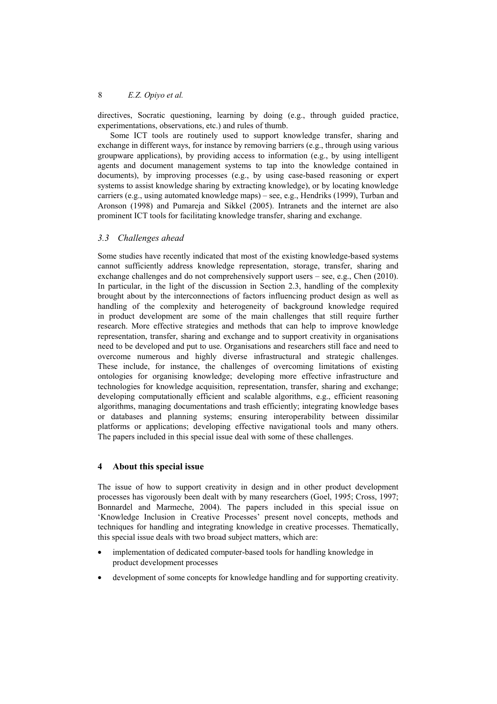directives, Socratic questioning, learning by doing (e.g., through guided practice, experimentations, observations, etc.) and rules of thumb.

Some ICT tools are routinely used to support knowledge transfer, sharing and exchange in different ways, for instance by removing barriers (e.g., through using various groupware applications), by providing access to information (e.g., by using intelligent agents and document management systems to tap into the knowledge contained in documents), by improving processes (e.g., by using case-based reasoning or expert systems to assist knowledge sharing by extracting knowledge), or by locating knowledge carriers (e.g., using automated knowledge maps) – see, e.g., Hendriks (1999), Turban and Aronson (1998) and Pumareja and Sikkel (2005). Intranets and the internet are also prominent ICT tools for facilitating knowledge transfer, sharing and exchange.

#### *3.3 Challenges ahead*

Some studies have recently indicated that most of the existing knowledge-based systems cannot sufficiently address knowledge representation, storage, transfer, sharing and exchange challenges and do not comprehensively support users – see, e.g., Chen (2010). In particular, in the light of the discussion in Section 2.3, handling of the complexity brought about by the interconnections of factors influencing product design as well as handling of the complexity and heterogeneity of background knowledge required in product development are some of the main challenges that still require further research. More effective strategies and methods that can help to improve knowledge representation, transfer, sharing and exchange and to support creativity in organisations need to be developed and put to use. Organisations and researchers still face and need to overcome numerous and highly diverse infrastructural and strategic challenges. These include, for instance, the challenges of overcoming limitations of existing ontologies for organising knowledge; developing more effective infrastructure and technologies for knowledge acquisition, representation, transfer, sharing and exchange; developing computationally efficient and scalable algorithms, e.g., efficient reasoning algorithms, managing documentations and trash efficiently; integrating knowledge bases or databases and planning systems; ensuring interoperability between dissimilar platforms or applications; developing effective navigational tools and many others. The papers included in this special issue deal with some of these challenges.

# **4 About this special issue**

The issue of how to support creativity in design and in other product development processes has vigorously been dealt with by many researchers (Goel, 1995; Cross, 1997; Bonnardel and Marmeche, 2004). The papers included in this special issue on 'Knowledge Inclusion in Creative Processes' present novel concepts, methods and techniques for handling and integrating knowledge in creative processes. Thematically, this special issue deals with two broad subject matters, which are:

- implementation of dedicated computer-based tools for handling knowledge in product development processes
- development of some concepts for knowledge handling and for supporting creativity.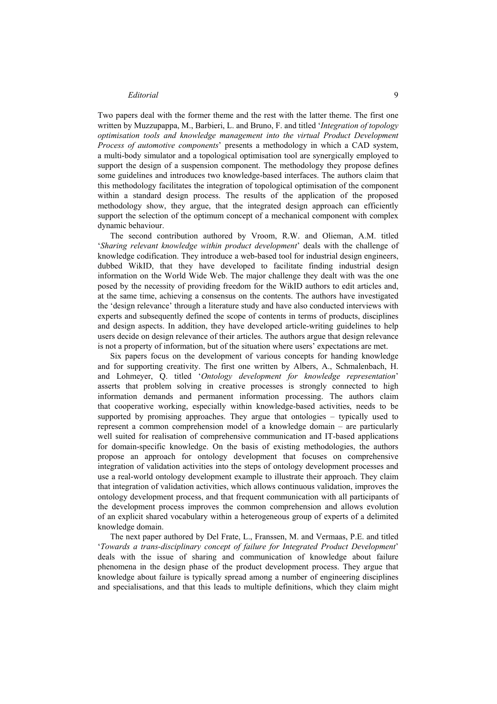Two papers deal with the former theme and the rest with the latter theme. The first one written by Muzzupappa, M., Barbieri, L. and Bruno, F. and titled '*Integration of topology optimisation tools and knowledge management into the virtual Product Development Process of automotive components*' presents a methodology in which a CAD system, a multi-body simulator and a topological optimisation tool are synergically employed to support the design of a suspension component. The methodology they propose defines some guidelines and introduces two knowledge-based interfaces. The authors claim that this methodology facilitates the integration of topological optimisation of the component within a standard design process. The results of the application of the proposed methodology show, they argue, that the integrated design approach can efficiently support the selection of the optimum concept of a mechanical component with complex dynamic behaviour.

The second contribution authored by Vroom, R.W. and Olieman, A.M. titled '*Sharing relevant knowledge within product development*' deals with the challenge of knowledge codification. They introduce a web-based tool for industrial design engineers, dubbed WikID, that they have developed to facilitate finding industrial design information on the World Wide Web. The major challenge they dealt with was the one posed by the necessity of providing freedom for the WikID authors to edit articles and, at the same time, achieving a consensus on the contents. The authors have investigated the 'design relevance' through a literature study and have also conducted interviews with experts and subsequently defined the scope of contents in terms of products, disciplines and design aspects. In addition, they have developed article-writing guidelines to help users decide on design relevance of their articles. The authors argue that design relevance is not a property of information, but of the situation where users' expectations are met.

Six papers focus on the development of various concepts for handing knowledge and for supporting creativity. The first one written by Albers, A., Schmalenbach, H. and Lohmeyer, Q. titled '*Ontology development for knowledge representation*' asserts that problem solving in creative processes is strongly connected to high information demands and permanent information processing. The authors claim that cooperative working, especially within knowledge-based activities, needs to be supported by promising approaches. They argue that ontologies – typically used to represent a common comprehension model of a knowledge domain – are particularly well suited for realisation of comprehensive communication and IT-based applications for domain-specific knowledge. On the basis of existing methodologies, the authors propose an approach for ontology development that focuses on comprehensive integration of validation activities into the steps of ontology development processes and use a real-world ontology development example to illustrate their approach. They claim that integration of validation activities, which allows continuous validation, improves the ontology development process, and that frequent communication with all participants of the development process improves the common comprehension and allows evolution of an explicit shared vocabulary within a heterogeneous group of experts of a delimited knowledge domain.

The next paper authored by Del Frate, L., Franssen, M. and Vermaas, P.E. and titled '*Towards a trans-disciplinary concept of failure for Integrated Product Development*' deals with the issue of sharing and communication of knowledge about failure phenomena in the design phase of the product development process. They argue that knowledge about failure is typically spread among a number of engineering disciplines and specialisations, and that this leads to multiple definitions, which they claim might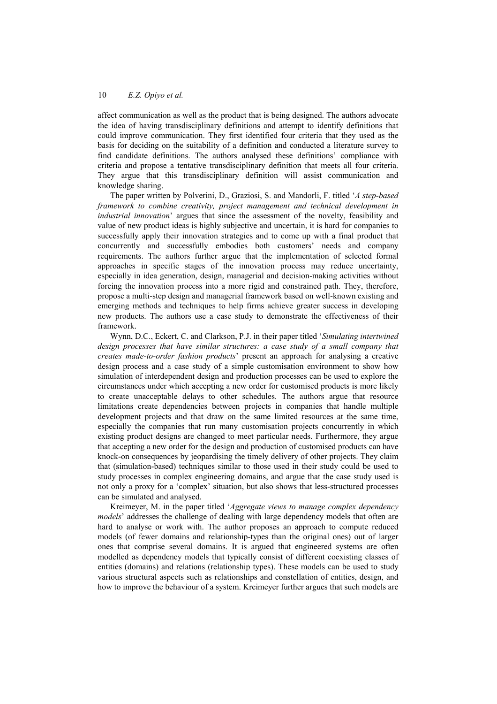affect communication as well as the product that is being designed. The authors advocate the idea of having transdisciplinary definitions and attempt to identify definitions that could improve communication. They first identified four criteria that they used as the basis for deciding on the suitability of a definition and conducted a literature survey to find candidate definitions. The authors analysed these definitions' compliance with criteria and propose a tentative transdisciplinary definition that meets all four criteria. They argue that this transdisciplinary definition will assist communication and knowledge sharing.

The paper written by Polverini, D., Graziosi, S. and Mandorli, F. titled '*A step-based framework to combine creativity, project management and technical development in industrial innovation*' argues that since the assessment of the novelty, feasibility and value of new product ideas is highly subjective and uncertain, it is hard for companies to successfully apply their innovation strategies and to come up with a final product that concurrently and successfully embodies both customers' needs and company requirements. The authors further argue that the implementation of selected formal approaches in specific stages of the innovation process may reduce uncertainty, especially in idea generation, design, managerial and decision-making activities without forcing the innovation process into a more rigid and constrained path. They, therefore, propose a multi-step design and managerial framework based on well-known existing and emerging methods and techniques to help firms achieve greater success in developing new products. The authors use a case study to demonstrate the effectiveness of their framework.

Wynn, D.C., Eckert, C. and Clarkson, P.J. in their paper titled '*Simulating intertwined design processes that have similar structures: a case study of a small company that creates made-to-order fashion products*' present an approach for analysing a creative design process and a case study of a simple customisation environment to show how simulation of interdependent design and production processes can be used to explore the circumstances under which accepting a new order for customised products is more likely to create unacceptable delays to other schedules. The authors argue that resource limitations create dependencies between projects in companies that handle multiple development projects and that draw on the same limited resources at the same time, especially the companies that run many customisation projects concurrently in which existing product designs are changed to meet particular needs. Furthermore, they argue that accepting a new order for the design and production of customised products can have knock-on consequences by jeopardising the timely delivery of other projects. They claim that (simulation-based) techniques similar to those used in their study could be used to study processes in complex engineering domains, and argue that the case study used is not only a proxy for a 'complex' situation, but also shows that less-structured processes can be simulated and analysed.

Kreimeyer, M. in the paper titled '*Aggregate views to manage complex dependency models*' addresses the challenge of dealing with large dependency models that often are hard to analyse or work with. The author proposes an approach to compute reduced models (of fewer domains and relationship-types than the original ones) out of larger ones that comprise several domains. It is argued that engineered systems are often modelled as dependency models that typically consist of different coexisting classes of entities (domains) and relations (relationship types). These models can be used to study various structural aspects such as relationships and constellation of entities, design, and how to improve the behaviour of a system. Kreimeyer further argues that such models are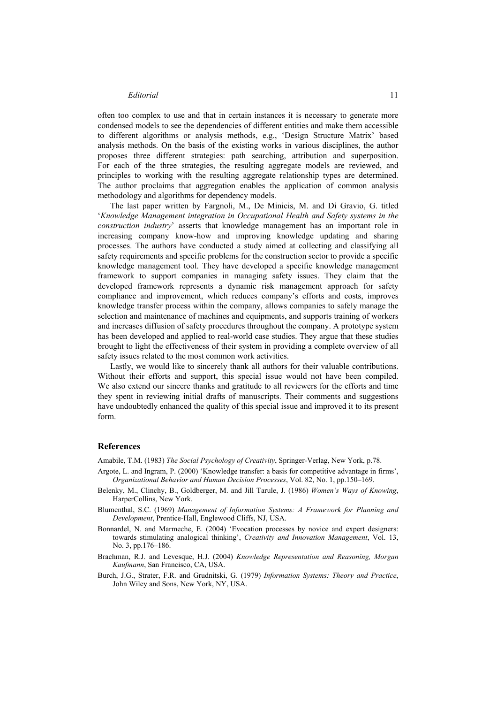often too complex to use and that in certain instances it is necessary to generate more condensed models to see the dependencies of different entities and make them accessible to different algorithms or analysis methods, e.g., 'Design Structure Matrix' based analysis methods. On the basis of the existing works in various disciplines, the author proposes three different strategies: path searching, attribution and superposition. For each of the three strategies, the resulting aggregate models are reviewed, and principles to working with the resulting aggregate relationship types are determined. The author proclaims that aggregation enables the application of common analysis methodology and algorithms for dependency models.

The last paper written by Fargnoli, M., De Minicis, M. and Di Gravio, G. titled '*Knowledge Management integration in Occupational Health and Safety systems in the construction industry*' asserts that knowledge management has an important role in increasing company know-how and improving knowledge updating and sharing processes. The authors have conducted a study aimed at collecting and classifying all safety requirements and specific problems for the construction sector to provide a specific knowledge management tool. They have developed a specific knowledge management framework to support companies in managing safety issues. They claim that the developed framework represents a dynamic risk management approach for safety compliance and improvement, which reduces company's efforts and costs, improves knowledge transfer process within the company, allows companies to safely manage the selection and maintenance of machines and equipments, and supports training of workers and increases diffusion of safety procedures throughout the company. A prototype system has been developed and applied to real-world case studies. They argue that these studies brought to light the effectiveness of their system in providing a complete overview of all safety issues related to the most common work activities.

Lastly, we would like to sincerely thank all authors for their valuable contributions. Without their efforts and support, this special issue would not have been compiled. We also extend our sincere thanks and gratitude to all reviewers for the efforts and time they spent in reviewing initial drafts of manuscripts. Their comments and suggestions have undoubtedly enhanced the quality of this special issue and improved it to its present form.

#### **References**

Amabile, T.M. (1983) *The Social Psychology of Creativity*, Springer-Verlag, New York, p.78.

- Argote, L. and Ingram, P. (2000) 'Knowledge transfer: a basis for competitive advantage in firms', *Organizational Behavior and Human Decision Processes*, Vol. 82, No. 1, pp.150–169.
- Belenky, M., Clinchy, B., Goldberger, M. and Jill Tarule, J. (1986) *Women's Ways of Knowing*, HarperCollins, New York.
- Blumenthal, S.C. (1969) *Management of Information Systems: A Framework for Planning and Development*, Prentice-Hall, Englewood Cliffs, NJ, USA.
- Bonnardel, N. and Marmeche, E. (2004) 'Evocation processes by novice and expert designers: towards stimulating analogical thinking', *Creativity and Innovation Management*, Vol. 13, No. 3, pp.176–186.
- Brachman, R.J. and Levesque, H.J. (2004) *Knowledge Representation and Reasoning, Morgan Kaufmann*, San Francisco, CA, USA.
- Burch, J.G., Strater, F.R. and Grudnitski, G. (1979) *Information Systems: Theory and Practice*, John Wiley and Sons, New York, NY, USA.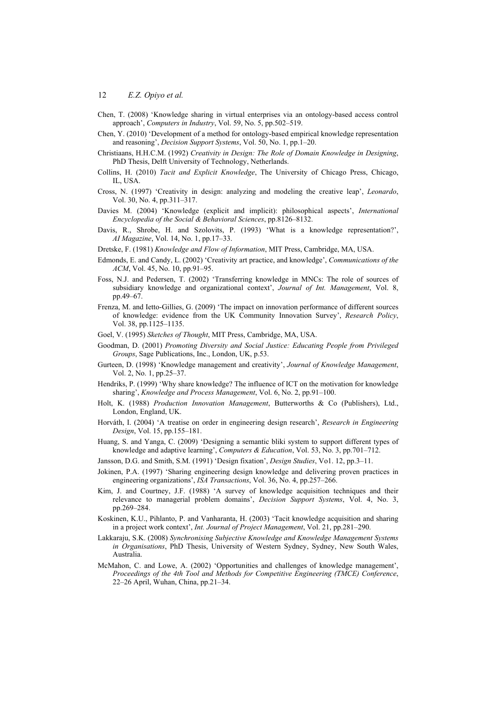- Chen, T. (2008) 'Knowledge sharing in virtual enterprises via an ontology-based access control approach', *Computers in Industry*, Vol. 59, No. 5, pp.502–519.
- Chen, Y. (2010) 'Development of a method for ontology-based empirical knowledge representation and reasoning', *Decision Support Systems*, Vol. 50, No. 1, pp.1–20.
- Christiaans, H.H.C.M. (1992) *Creativity in Design: The Role of Domain Knowledge in Designing*, PhD Thesis, Delft University of Technology, Netherlands.
- Collins, H. (2010) *Tacit and Explicit Knowledge*, The University of Chicago Press, Chicago, IL, USA.
- Cross, N. (1997) 'Creativity in design: analyzing and modeling the creative leap', *Leonardo*, Vol. 30, No. 4, pp.311–317.
- Davies M. (2004) 'Knowledge (explicit and implicit): philosophical aspects', *International Encyclopedia of the Social & Behavioral Sciences*, pp.8126–8132.
- Davis, R., Shrobe, H. and Szolovits, P. (1993) 'What is a knowledge representation?', *AI Magazine*, Vol. 14, No. 1, pp.17–33.
- Dretske, F. (1981) *Knowledge and Flow of Information*, MIT Press, Cambridge, MA, USA.
- Edmonds, E. and Candy, L. (2002) 'Creativity art practice, and knowledge', *Communications of the ACM*, Vol. 45, No. 10, pp.91–95.
- Foss, N.J. and Pedersen, T. (2002) 'Transferring knowledge in MNCs: The role of sources of subsidiary knowledge and organizational context', *Journal of Int. Management*, Vol. 8, pp.49–67.
- Frenza, M. and Ietto-Gillies, G. (2009) 'The impact on innovation performance of different sources of knowledge: evidence from the UK Community Innovation Survey', *Research Policy*, Vol. 38, pp.1125–1135.
- Goel, V. (1995) *Sketches of Thought*, MIT Press, Cambridge, MA, USA.
- Goodman, D. (2001) *Promoting Diversity and Social Justice: Educating People from Privileged Groups*, Sage Publications, Inc., London, UK, p.53.
- Gurteen, D. (1998) 'Knowledge management and creativity', *Journal of Knowledge Management*, Vol. 2, No. 1, pp.25–37.
- Hendriks, P. (1999) 'Why share knowledge? The influence of ICT on the motivation for knowledge sharing', *Knowledge and Process Management*, Vol. 6, No. 2, pp.91–100.
- Holt, K. (1988) *Production Innovation Management*, Butterworths & Co (Publishers), Ltd., London, England, UK.
- Horváth, I. (2004) 'A treatise on order in engineering design research', *Research in Engineering Design*, Vol. 15, pp.155–181.
- Huang, S. and Yanga, C. (2009) 'Designing a semantic bliki system to support different types of knowledge and adaptive learning', *Computers & Education*, Vol. 53, No. 3, pp.701–712.
- Jansson, D.G. and Smith, S.M. (1991) 'Design fixation', *Design Studies*, Vo1. 12, pp.3–11.
- Jokinen, P.A. (1997) 'Sharing engineering design knowledge and delivering proven practices in engineering organizations', *ISA Transactions*, Vol. 36, No. 4, pp.257–266.
- Kim, J. and Courtney, J.F. (1988) 'A survey of knowledge acquisition techniques and their relevance to managerial problem domains', *Decision Support Systems*, Vol. 4, No. 3, pp.269–284.
- Koskinen, K.U., Pihlanto, P. and Vanharanta, H. (2003) 'Tacit knowledge acquisition and sharing in a project work context', *Int. Journal of Project Management*, Vol. 21, pp.281–290.
- Lakkaraju, S.K. (2008) *Synchronising Subjective Knowledge and Knowledge Management Systems in Organisations*, PhD Thesis, University of Western Sydney, Sydney, New South Wales, Australia.
- McMahon, C. and Lowe, A. (2002) 'Opportunities and challenges of knowledge management', *Proceedings of the 4th Tool and Methods for Competitive Engineering (TMCE) Conference*, 22–26 April, Wuhan, China, pp.21–34.